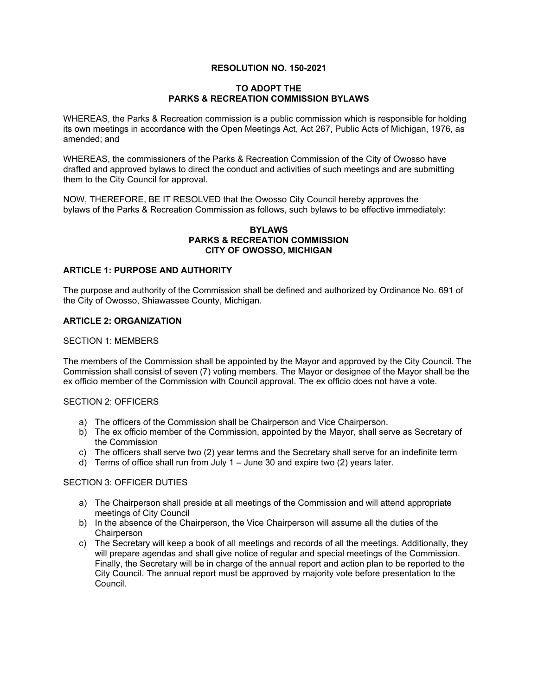# **RESOLUTION NO. 150-2021**

### **TO ADOPT THE PARKS & RECREATION COMMISSION BYLAWS**

WHEREAS, the Parks & Recreation commission is a public commission which is responsible for holding its own meetings in accordance with the Open Meetings Act, Act 267, Public Acts of Michigan, 1976, as amended; and

WHEREAS, the commissioners of the Parks & Recreation Commission of the City of Owosso have drafted and approved bylaws to direct the conduct and activities of such meetings and are submitting them to the City Council for approval.

NOW, THEREFORE, BE IT RESOLVED that the Owosso City Council hereby approves the bylaws of the Parks & Recreation Commission as follows, such bylaws to be effective immediately:

#### **BYLAWS PARKS & RECREATION COMMISSION CITY OF OWOSSO, MICHIGAN**

## **ARTICLE 1: PURPOSE AND AUTHORITY**

The purpose and authority of the Commission shall be defined and authorized by Ordinance No. 691 of the City of Owosso, Shiawassee County, Michigan.

### **ARTICLE 2: ORGANIZATION**

#### SECTION 1: MEMBERS

The members of the Commission shall be appointed by the Mayor and approved by the City Council. The Commission shall consist of seven (7) voting members. The Mayor or designee of the Mayor shall be the ex officio member of the Commission with Council approval. The ex officio does not have a vote.

#### SECTION 2: OFFICERS

- a) The officers of the Commission shall be Chairperson and Vice Chairperson.
- b) The ex officio member of the Commission, appointed by the Mayor, shall serve as Secretary of the Commission
- c) The officers shall serve two (2) year terms and the Secretary shall serve for an indefinite term
- d) Terms of office shall run from July 1 June 30 and expire two (2) years later.

### SECTION 3: OFFICER DUTIES

- a) The Chairperson shall preside at all meetings of the Commission and will attend appropriate meetings of City Council
- b) In the absence of the Chairperson, the Vice Chairperson will assume all the duties of the **Chairperson**
- c) The Secretary will keep a book of all meetings and records of all the meetings. Additionally, they will prepare agendas and shall give notice of regular and special meetings of the Commission. Finally, the Secretary will be in charge of the annual report and action plan to be reported to the City Council. The annual report must be approved by majority vote before presentation to the Council.